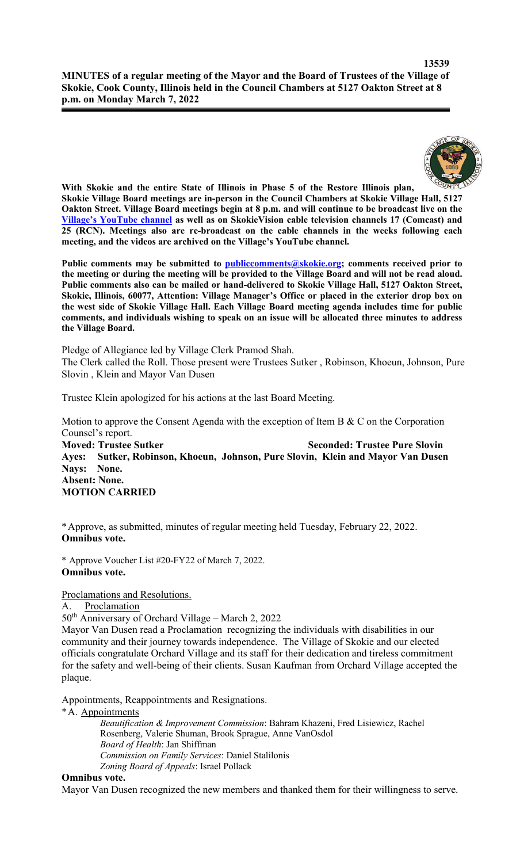

**With Skokie and the entire State of Illinois in Phase 5 of the Restore Illinois plan, Skokie Village Board meetings are in-person in the Council Chambers at Skokie Village Hall, 5127 Oakton Street. Village Board meetings begin at 8 p.m. and will continue to be broadcast live on the Village's YouTube channel as well as on SkokieVision cable television channels 17 (Comcast) and 25 (RCN). Meetings also are re-broadcast on the cable channels in the weeks following each meeting, and the videos are archived on the Village's YouTube channel.**

Public comments may be submitted to **publiccomments@skokie.org;** comments received prior to **the meeting or during the meeting will be provided to the Village Board and will not be read aloud. Public comments also can be mailed or hand-delivered to Skokie Village Hall, 5127 Oakton Street, Skokie, Illinois, 60077, Attention: Village Manager's Office or placed in the exterior drop box on the west side of Skokie Village Hall. Each Village Board meeting agenda includes time for public comments, and individuals wishing to speak on an issue will be allocated three minutes to address the Village Board.**

Pledge of Allegiance led by Village Clerk Pramod Shah. The Clerk called the Roll. Those present were Trustees Sutker , Robinson, Khoeun, Johnson, Pure Slovin , Klein and Mayor Van Dusen

Trustee Klein apologized for his actions at the last Board Meeting.

Motion to approve the Consent Agenda with the exception of Item B & C on the Corporation Counsel's report. **Moved: Trustee Sutker Seconded: Trustee Pure Slovin Ayes: Sutker, Robinson, Khoeun, Johnson, Pure Slovin, Klein and Mayor Van Dusen Nays: None. Absent: None. MOTION CARRIED**

\*Approve, as submitted, minutes of regular meeting held Tuesday, February 22, 2022. **Omnibus vote.**

\* Approve Voucher List #20-FY22 of March 7, 2022. **Omnibus vote.**

## Proclamations and Resolutions.

A. Proclamation

50<sup>th</sup> Anniversary of Orchard Village – March 2, 2022

Mayor Van Dusen read a Proclamation recognizing the individuals with disabilities in our community and their journey towards independence. The Village of Skokie and our elected officials congratulate Orchard Village and its staff for their dedication and tireless commitment for the safety and well-being of their clients. Susan Kaufman from Orchard Village accepted the plaque.

Appointments, Reappointments and Resignations.

\*A. Appointments

*Beautification & Improvement Commission*: Bahram Khazeni, Fred Lisiewicz, Rachel Rosenberg, Valerie Shuman, Brook Sprague, Anne VanOsdol *Board of Health*: Jan Shiffman *Commission on Family Services*: Daniel Stalilonis *Zoning Board of Appeals*: Israel Pollack

#### **Omnibus vote.**

Mayor Van Dusen recognized the new members and thanked them for their willingness to serve.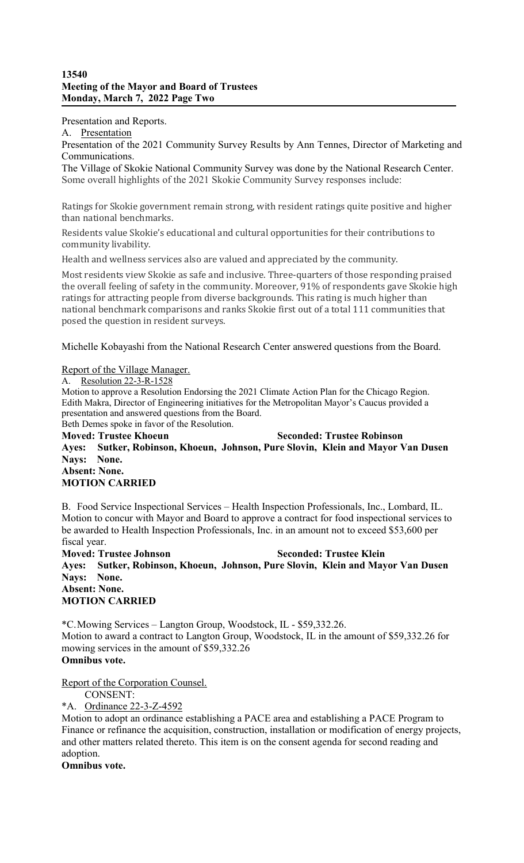## **13540 Meeting of the Mayor and Board of Trustees Monday, March 7, 2022 Page Two**

Presentation and Reports.

A. Presentation

Presentation of the 2021 Community Survey Results by Ann Tennes, Director of Marketing and Communications.

The Village of Skokie National Community Survey was done by the National Research Center. Some overall highlights of the 2021 Skokie Community Survey responses include:

Ratings for Skokie government remain strong, with resident ratings quite positive and higher than national benchmarks.

Residents value Skokie's educational and cultural opportunities for their contributions to community livability.

Health and wellness services also are valued and appreciated by the community.

Most residents view Skokie as safe and inclusive. Three-quarters of those responding praised the overall feeling of safety in the community. Moreover, 91% of respondents gave Skokie high ratings for attracting people from diverse backgrounds. This rating is much higher than national benchmark comparisons and ranks Skokie first out of a total 111 communities that posed the question in resident surveys.

Michelle Kobayashi from the National Research Center answered questions from the Board.

### Report of the Village Manager.

A. Resolution 22-3-R-1528

Motion to approve a Resolution Endorsing the 2021 Climate Action Plan for the Chicago Region. Edith Makra, Director of Engineering initiatives for the Metropolitan Mayor's Caucus provided a presentation and answered questions from the Board. Beth Demes spoke in favor of the Resolution.

**Moved: Trustee Khoeun Seconded: Trustee Robinson Ayes: Sutker, Robinson, Khoeun, Johnson, Pure Slovin, Klein and Mayor Van Dusen Nays: None. Absent: None. MOTION CARRIED**

B. Food Service Inspectional Services – Health Inspection Professionals, Inc., Lombard, IL. Motion to concur with Mayor and Board to approve a contract for food inspectional services to be awarded to Health Inspection Professionals, Inc. in an amount not to exceed \$53,600 per fiscal year.

**Moved: Trustee Johnson Seconded: Trustee Klein Ayes: Sutker, Robinson, Khoeun, Johnson, Pure Slovin, Klein and Mayor Van Dusen Nays: None. Absent: None. MOTION CARRIED**

\*C.Mowing Services – Langton Group, Woodstock, IL - \$59,332.26. Motion to award a contract to Langton Group, Woodstock, IL in the amount of \$59,332.26 for mowing services in the amount of \$59,332.26 **Omnibus vote.**

Report of the Corporation Counsel.

CONSENT:

\*A. Ordinance 22-3-Z-4592

Motion to adopt an ordinance establishing a PACE area and establishing a PACE Program to Finance or refinance the acquisition, construction, installation or modification of energy projects, and other matters related thereto. This item is on the consent agenda for second reading and adoption.

**Omnibus vote.**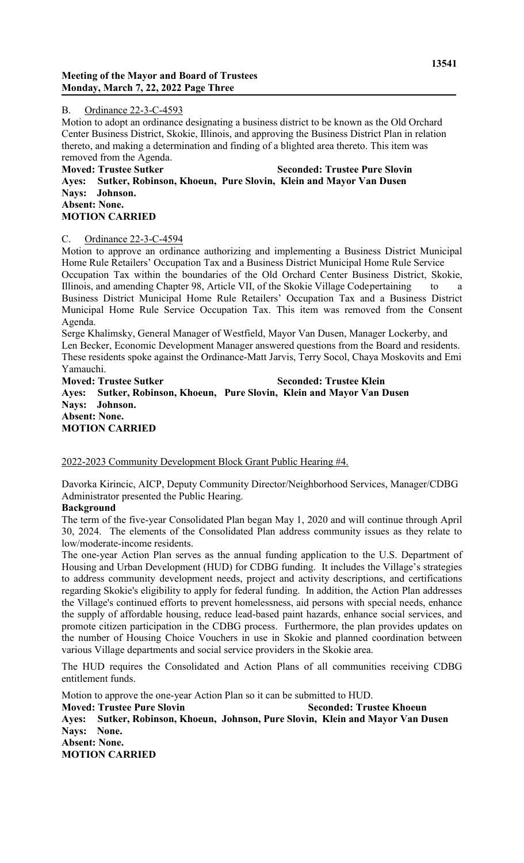## B. Ordinance 22-3-C-4593

Motion to adopt an ordinance designating a business district to be known as the Old Orchard Center Business District, Skokie, Illinois, and approving the Business District Plan in relation thereto, and making a determination and finding of a blighted area thereto. This item was removed from the Agenda.

## **Moved: Trustee Sutker Seconded: Trustee Pure Slovin Ayes: Sutker, Robinson, Khoeun, Pure Slovin, Klein and Mayor Van Dusen Nays: Johnson. Absent: None. MOTION CARRIED**

## C. Ordinance 22-3-C-4594

Motion to approve an ordinance authorizing and implementing a Business District Municipal Home Rule Retailers' Occupation Tax and a Business District Municipal Home Rule Service Occupation Tax within the boundaries of the Old Orchard Center Business District, Skokie, Illinois, and amending Chapter 98, Article VII, of the Skokie Village Codepertaining to a Business District Municipal Home Rule Retailers' Occupation Tax and a Business District Municipal Home Rule Service Occupation Tax. This item was removed from the Consent Agenda.

Serge Khalimsky, General Manager of Westfield, Mayor Van Dusen, Manager Lockerby, and Len Becker, Economic Development Manager answered questions from the Board and residents. These residents spoke against the Ordinance-Matt Jarvis, Terry Socol, Chaya Moskovits and Emi Yamauchi.

**Moved: Trustee Sutker Seconded: Trustee Klein Ayes: Sutker, Robinson, Khoeun, Pure Slovin, Klein and Mayor Van Dusen Nays: Johnson. Absent: None. MOTION CARRIED**

# 2022-2023 Community Development Block Grant Public Hearing #4.

Davorka Kirincic, AICP, Deputy Community Director/Neighborhood Services, Manager/CDBG Administrator presented the Public Hearing.

# **Background**

The term of the five-year Consolidated Plan began May 1, 2020 and will continue through April 30, 2024. The elements of the Consolidated Plan address community issues as they relate to low/moderate-income residents.

The one-year Action Plan serves as the annual funding application to the U.S. Department of Housing and Urban Development (HUD) for CDBG funding. It includes the Village's strategies to address community development needs, project and activity descriptions, and certifications regarding Skokie's eligibility to apply for federal funding. In addition, the Action Plan addresses the Village's continued efforts to prevent homelessness, aid persons with special needs, enhance the supply of affordable housing, reduce lead-based paint hazards, enhance social services, and promote citizen participation in the CDBG process. Furthermore, the plan provides updates on the number of Housing Choice Vouchers in use in Skokie and planned coordination between various Village departments and social service providers in the Skokie area.

The HUD requires the Consolidated and Action Plans of all communities receiving CDBG entitlement funds.

Motion to approve the one-year Action Plan so it can be submitted to HUD.

**Moved: Trustee Pure Slovin Seconded: Trustee Khoeun Ayes: Sutker, Robinson, Khoeun, Johnson, Pure Slovin, Klein and Mayor Van Dusen Nays: None. Absent: None. MOTION CARRIED**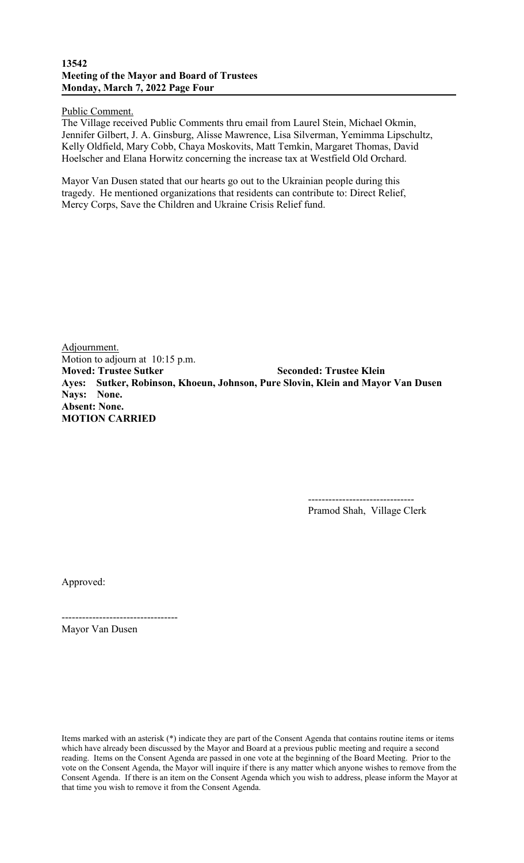### **13542 Meeting of the Mayor and Board of Trustees Monday, March 7, 2022 Page Four**

Public Comment.

The Village received Public Comments thru email from Laurel Stein, Michael Okmin, Jennifer Gilbert, J. A. Ginsburg, Alisse Mawrence, Lisa Silverman, Yemimma Lipschultz, Kelly Oldfield, Mary Cobb, Chaya Moskovits, Matt Temkin, Margaret Thomas, David Hoelscher and Elana Horwitz concerning the increase tax at Westfield Old Orchard.

Mayor Van Dusen stated that our hearts go out to the Ukrainian people during this tragedy. He mentioned organizations that residents can contribute to: Direct Relief, Mercy Corps, Save the Children and Ukraine Crisis Relief fund.

Adjournment. Motion to adjourn at 10:15 p.m. **Moved: Trustee Sutker Seconded: Trustee Klein Ayes: Sutker, Robinson, Khoeun, Johnson, Pure Slovin, Klein and Mayor Van Dusen Nays: None. Absent: None. MOTION CARRIED**

> ------------------------------- Pramod Shah, Village Clerk

Approved:

Mayor Van Dusen

----------------------------------

Items marked with an asterisk (\*) indicate they are part of the Consent Agenda that contains routine items or items which have already been discussed by the Mayor and Board at a previous public meeting and require a second reading. Items on the Consent Agenda are passed in one vote at the beginning of the Board Meeting. Prior to the vote on the Consent Agenda, the Mayor will inquire if there is any matter which anyone wishes to remove from the Consent Agenda. If there is an item on the Consent Agenda which you wish to address, please inform the Mayor at that time you wish to remove it from the Consent Agenda.